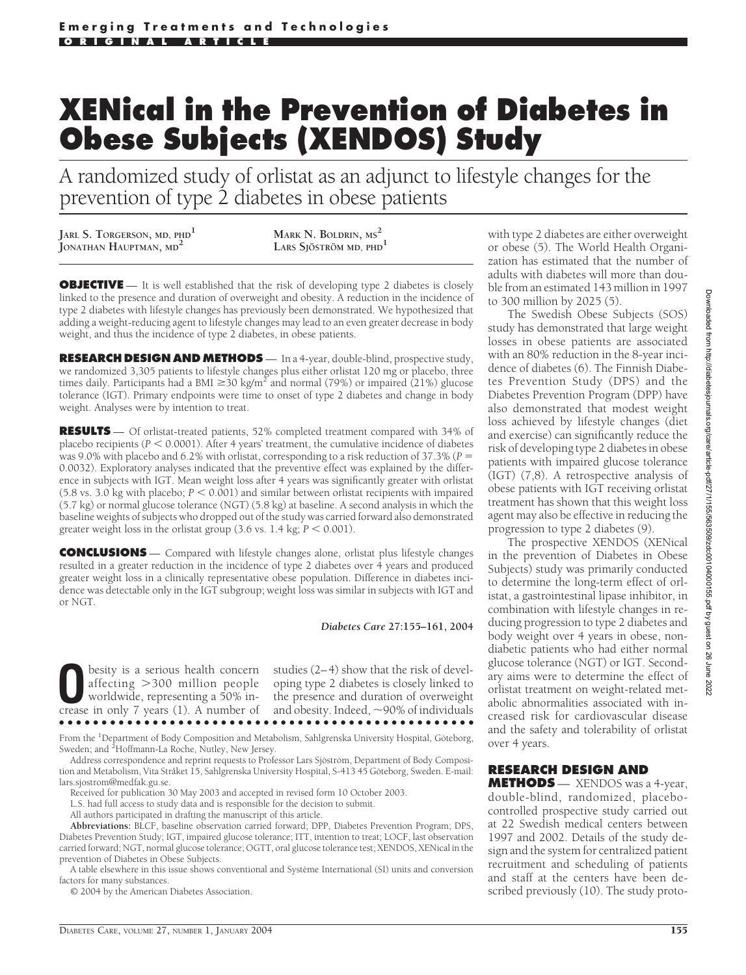# **XENical in the Prevention of Diabetes in Obese Subjects (XENDOS) Study**

A randomized study of orlistat as an adjunct to lifestyle changes for the prevention of type 2 diabetes in obese patients

**JARL S. TORGERSON, MD, PHD<sup>1</sup> JONATHAN HAUPTMAN, MD<sup>2</sup> MARK N. BOLDRIN, MS<sup>2</sup>**

**LARS SJÖSTRÖM** MD, PHD<sup>1</sup>

**OBJECTIVE** — It is well established that the risk of developing type 2 diabetes is closely linked to the presence and duration of overweight and obesity. A reduction in the incidence of type 2 diabetes with lifestyle changes has previously been demonstrated. We hypothesized that adding a weight-reducing agent to lifestyle changes may lead to an even greater decrease in body weight, and thus the incidence of type 2 diabetes, in obese patients.

**RESEARCH DESIGN AND METHODS** — In a 4-year, double-blind, prospective study, we randomized 3,305 patients to lifestyle changes plus either orlistat 120 mg or placebo, three times daily. Participants had a BMI  $\geq$ 30 kg/m<sup>2</sup> and normal (79%) or impaired (21%) glucose tolerance (IGT). Primary endpoints were time to onset of type 2 diabetes and change in body weight. Analyses were by intention to treat.

**RESULTS** — Of orlistat-treated patients, 52% completed treatment compared with 34% of placebo recipients ( $P < 0.0001$ ). After 4 years' treatment, the cumulative incidence of diabetes was 9.0% with placebo and 6.2% with orlistat, corresponding to a risk reduction of 37.3% (*P* = 0.0032). Exploratory analyses indicated that the preventive effect was explained by the difference in subjects with IGT. Mean weight loss after 4 years was significantly greater with orlistat (5.8 vs. 3.0 kg with placebo;  $P < 0.001$ ) and similar between orlistat recipients with impaired (5.7 kg) or normal glucose tolerance (NGT) (5.8 kg) at baseline. A second analysis in which the baseline weights of subjects who dropped out of the study was carried forward also demonstrated greater weight loss in the orlistat group  $(3.6 \text{ vs. } 1.4 \text{ kg}; P \le 0.001)$ .

**CONCLUSIONS** — Compared with lifestyle changes alone, orlistat plus lifestyle changes resulted in a greater reduction in the incidence of type 2 diabetes over 4 years and produced greater weight loss in a clinically representative obese population. Difference in diabetes incidence was detectable only in the IGT subgroup; weight loss was similar in subjects with IGT and or NGT.

*Diabetes Care* **27:155–161, 2004**

besity is a serious health concern affecting 300 million people worldwide, representing a 50% increase in only 7 years (1). A number of

studies (2–4) show that the risk of developing type 2 diabetes is closely linked to the presence and duration of overweight and obesity. Indeed,  $\sim$ 90% of individuals ●●●●●●●●●●●●●●●●●●●●●●●●●●●●●●●●●●●●●●●●●●●●●●●●●

From the <sup>1</sup>Department of Body Composition and Metabolism, Sahlgrenska University Hospital, Göteborg, Sweden; and <sup>2</sup>Hoffmann-La Roche, Nutley, New Jersey.

Address correspondence and reprint requests to Professor Lars Sjöström, Department of Body Composition and Metabolism, Vita Stråket 15, Sahlgrenska University Hospital, S-413 45 Göteborg, Sweden. E-mail: lars.sjostrom@medfak.gu.se.

Received for publication 30 May 2003 and accepted in revised form 10 October 2003.

L.S. had full access to study data and is responsible for the decision to submit.

All authors participated in drafting the manuscript of this article.

**Abbreviations:** BLCF, baseline observation carried forward; DPP, Diabetes Prevention Program; DPS, Diabetes Prevention Study; IGT, impaired glucose tolerance; ITT, intention to treat; LOCF, last observation carried forward; NGT, normal glucose tolerance; OGTT, oral glucose tolerance test; XENDOS, XENical in the prevention of Diabetes in Obese Subjects.

A table elsewhere in this issue shows conventional and Système International (SI) units and conversion factors for many substances.

© 2004 by the American Diabetes Association.

with type 2 diabetes are either overweight or obese (5). The World Health Organization has estimated that the number of adults with diabetes will more than double from an estimated 143 million in 1997 to 300 million by 2025 (5).

The Swedish Obese Subjects (SOS) study has demonstrated that large weight losses in obese patients are associated with an 80% reduction in the 8-year incidence of diabetes (6). The Finnish Diabetes Prevention Study (DPS) and the Diabetes Prevention Program (DPP) have also demonstrated that modest weight loss achieved by lifestyle changes (diet and exercise) can significantly reduce the risk of developing type 2 diabetes in obese patients with impaired glucose tolerance (IGT) (7,8). A retrospective analysis of obese patients with IGT receiving orlistat treatment has shown that this weight loss agent may also be effective in reducing the progression to type 2 diabetes (9).

The prospective XENDOS (XENical in the prevention of Diabetes in Obese Subjects) study was primarily conducted to determine the long-term effect of orlistat, a gastrointestinal lipase inhibitor, in combination with lifestyle changes in reducing progression to type 2 diabetes and body weight over 4 years in obese, nondiabetic patients who had either normal glucose tolerance (NGT) or IGT. Secondary aims were to determine the effect of orlistat treatment on weight-related metabolic abnormalities associated with increased risk for cardiovascular disease and the safety and tolerability of orlistat over 4 years.

## **RESEARCH DESIGN AND**

**METHODS** — XENDOS was a 4-year, double-blind, randomized, placebocontrolled prospective study carried out at 22 Swedish medical centers between 1997 and 2002. Details of the study design and the system for centralized patient recruitment and scheduling of patients and staff at the centers have been described previously (10). The study proto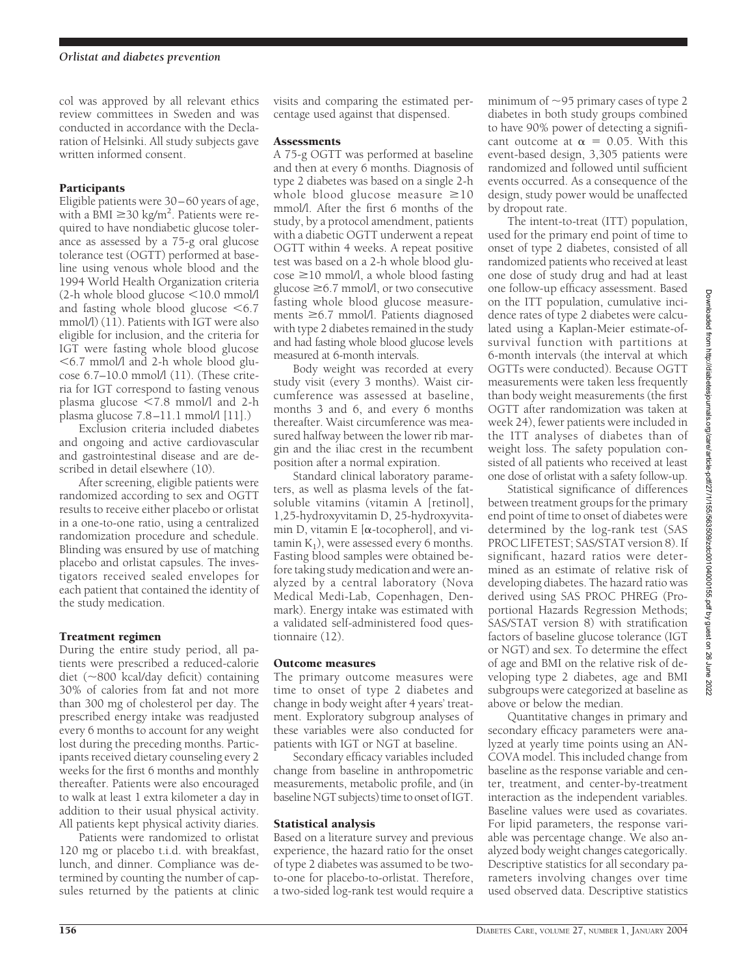col was approved by all relevant ethics review committees in Sweden and was conducted in accordance with the Declaration of Helsinki. All study subjects gave written informed consent.

# Participants

Eligible patients were 30–60 years of age, with a BMI  $\geq$  30 kg/m<sup>2</sup>. Patients were required to have nondiabetic glucose tolerance as assessed by a 75-g oral glucose tolerance test (OGTT) performed at baseline using venous whole blood and the 1994 World Health Organization criteria  $(2-h)$  whole blood glucose  $\leq 10.0$  mmol/l and fasting whole blood glucose  $\leq 6.7$ mmol/l) (11). Patients with IGT were also eligible for inclusion, and the criteria for IGT were fasting whole blood glucose  $<$  6.7 mmol/l and 2-h whole blood glucose  $6.7-10.0$  mmol $/1(11)$ . (These criteria for IGT correspond to fasting venous plasma glucose  $\leq 7.8$  mmol/l and 2-h plasma glucose 7.8–11.1 mmol/l [11].)

Exclusion criteria included diabetes and ongoing and active cardiovascular and gastrointestinal disease and are described in detail elsewhere (10).

After screening, eligible patients were randomized according to sex and OGTT results to receive either placebo or orlistat in a one-to-one ratio, using a centralized randomization procedure and schedule. Blinding was ensured by use of matching placebo and orlistat capsules. The investigators received sealed envelopes for each patient that contained the identity of the study medication.

# Treatment regimen

During the entire study period, all patients were prescribed a reduced-calorie diet  $(\sim 800 \text{ kcal/day}$  deficit) containing 30% of calories from fat and not more than 300 mg of cholesterol per day. The prescribed energy intake was readjusted every 6 months to account for any weight lost during the preceding months. Participants received dietary counseling every 2 weeks for the first 6 months and monthly thereafter. Patients were also encouraged to walk at least 1 extra kilometer a day in addition to their usual physical activity. All patients kept physical activity diaries.

Patients were randomized to orlistat 120 mg or placebo t.i.d. with breakfast, lunch, and dinner. Compliance was determined by counting the number of capsules returned by the patients at clinic visits and comparing the estimated percentage used against that dispensed.

## **Assessments**

A 75-g OGTT was performed at baseline and then at every 6 months. Diagnosis of type 2 diabetes was based on a single 2-h whole blood glucose measure  $\geq 10$ mmol/l. After the first 6 months of the study, by a protocol amendment, patients with a diabetic OGTT underwent a repeat OGTT within 4 weeks. A repeat positive test was based on a 2-h whole blood glu- $\cos\epsilon \ge 10$  mmol/l, a whole blood fasting glucose  $\geq 6.7$  mmol/l, or two consecutive fasting whole blood glucose measurements  $\geq 6.7$  mmol/l. Patients diagnosed with type 2 diabetes remained in the study and had fasting whole blood glucose levels measured at 6-month intervals.

Body weight was recorded at every study visit (every 3 months). Waist circumference was assessed at baseline, months 3 and 6, and every 6 months thereafter. Waist circumference was measured halfway between the lower rib margin and the iliac crest in the recumbent position after a normal expiration.

Standard clinical laboratory parameters, as well as plasma levels of the fatsoluble vitamins (vitamin A [retinol], 1,25-hydroxyvitamin D, 25-hydroxyvitamin D, vitamin E  $[\alpha$ -tocopherol], and vitamin  $K_1$ ), were assessed every 6 months. Fasting blood samples were obtained before taking study medication and were analyzed by a central laboratory (Nova Medical Medi-Lab, Copenhagen, Denmark). Energy intake was estimated with a validated self-administered food questionnaire (12).

## Outcome measures

The primary outcome measures were time to onset of type 2 diabetes and change in body weight after 4 years' treatment. Exploratory subgroup analyses of these variables were also conducted for patients with IGT or NGT at baseline.

Secondary efficacy variables included change from baseline in anthropometric measurements, metabolic profile, and (in baseline NGT subjects) time to onset of IGT.

# Statistical analysis

Based on a literature survey and previous experience, the hazard ratio for the onset of type 2 diabetes was assumed to be twoto-one for placebo-to-orlistat. Therefore, a two-sided log-rank test would require a

minimum of  $\sim$ 95 primary cases of type 2 diabetes in both study groups combined to have 90% power of detecting a significant outcome at  $\alpha = 0.05$ . With this event-based design, 3,305 patients were randomized and followed until sufficient events occurred. As a consequence of the design, study power would be unaffected by dropout rate.

The intent-to-treat (ITT) population, used for the primary end point of time to onset of type 2 diabetes, consisted of all randomized patients who received at least one dose of study drug and had at least one follow-up efficacy assessment. Based on the ITT population, cumulative incidence rates of type 2 diabetes were calculated using a Kaplan-Meier estimate-ofsurvival function with partitions at 6-month intervals (the interval at which OGTTs were conducted). Because OGTT measurements were taken less frequently than body weight measurements (the first OGTT after randomization was taken at week 24), fewer patients were included in the ITT analyses of diabetes than of weight loss. The safety population consisted of all patients who received at least one dose of orlistat with a safety follow-up.

Statistical significance of differences between treatment groups for the primary end point of time to onset of diabetes were determined by the log-rank test (SAS PROC LIFETEST; SAS/STAT version 8). If significant, hazard ratios were determined as an estimate of relative risk of developing diabetes. The hazard ratio was derived using SAS PROC PHREG (Proportional Hazards Regression Methods; SAS/STAT version 8) with stratification factors of baseline glucose tolerance (IGT or NGT) and sex. To determine the effect of age and BMI on the relative risk of developing type 2 diabetes, age and BMI subgroups were categorized at baseline as above or below the median.

Quantitative changes in primary and secondary efficacy parameters were analyzed at yearly time points using an AN-COVA model. This included change from baseline as the response variable and center, treatment, and center-by-treatment interaction as the independent variables. Baseline values were used as covariates. For lipid parameters, the response variable was percentage change. We also analyzed body weight changes categorically. Descriptive statistics for all secondary parameters involving changes over time used observed data. Descriptive statistics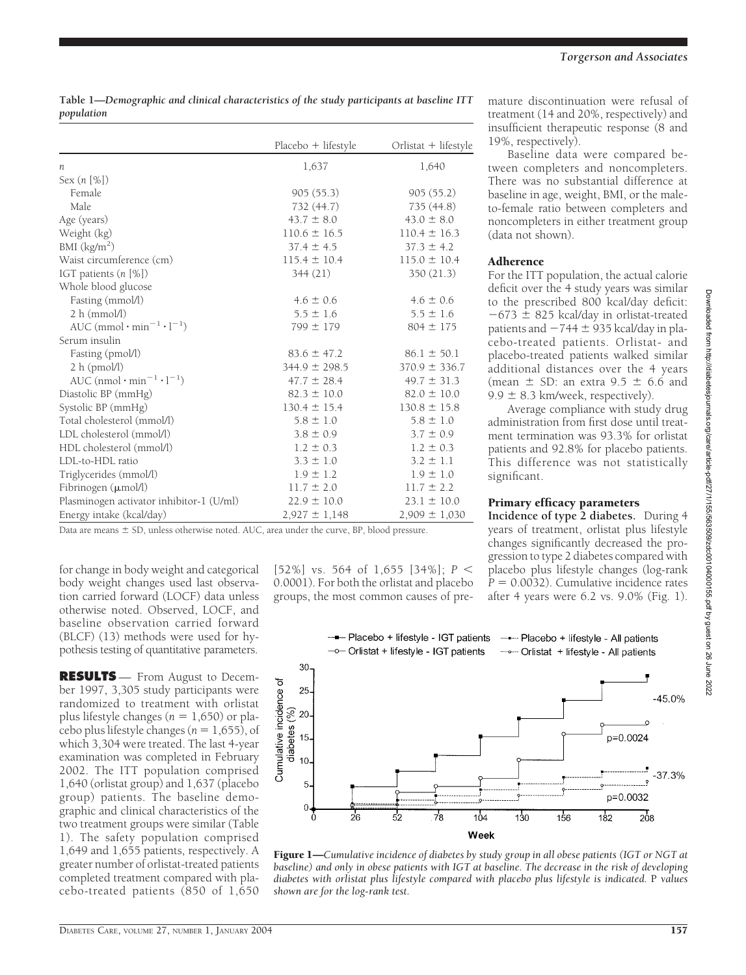**Table 1—***Demographic and clinical characteristics of the study participants at baseline ITT population*

|                                                               | $Placebo + lifestyle$ | Orlistat + lifestyle |
|---------------------------------------------------------------|-----------------------|----------------------|
| n                                                             | 1,637                 | 1,640                |
| Sex $(n \, \lceil \frac{9}{6} \rceil)$                        |                       |                      |
| Female                                                        | 905(55.3)             | 905(55.2)            |
| Male                                                          | 732 (44.7)            | 735 (44.8)           |
| Age (years)                                                   | $43.7 \pm 8.0$        | $43.0 \pm 8.0$       |
| Weight (kg)                                                   | $110.6 \pm 16.5$      | $110.4 \pm 16.3$     |
| BMI (kg/m <sup>2</sup> )                                      | $37.4 \pm 4.5$        | $37.3 \pm 4.2$       |
| Waist circumference (cm)                                      | $115.4 \pm 10.4$      | $115.0 \pm 10.4$     |
| IGT patients $(n \, [%])$                                     | 344(21)               | 350 (21.3)           |
| Whole blood glucose                                           |                       |                      |
| Fasting (mmol/l)                                              | $4.6 \pm 0.6$         | $4.6 \pm 0.6$        |
| 2 h (mmol/l)                                                  | $5.5 \pm 1.6$         | $5.5 \pm 1.6$        |
| AUC $(mmol \cdot min^{-1} \cdot l^{-1})$                      | $799 \pm 179$         | $804 \pm 175$        |
| Serum insulin                                                 |                       |                      |
| Fasting (pmol/l)                                              | $83.6 \pm 47.2$       | $86.1 \pm 50.1$      |
| 2 h (pmol/l)                                                  | $344.9 \pm 298.5$     | $370.9 \pm 336.7$    |
| AUC (nmol $\cdot$ min <sup>-1</sup> $\cdot$ 1 <sup>-1</sup> ) | $47.7 \pm 28.4$       | $49.7 \pm 31.3$      |
| Diastolic BP (mmHg)                                           | $82.3 \pm 10.0$       | $82.0 \pm 10.0$      |
| Systolic BP (mmHg)                                            | $130.4 \pm 15.4$      | $130.8 \pm 15.8$     |
| Total cholesterol (mmol/l)                                    | $5.8 \pm 1.0$         | $5.8 \pm 1.0$        |
| LDL cholesterol (mmol/l)                                      | $3.8 \pm 0.9$         | $3.7 \pm 0.9$        |
| HDL cholesterol (mmol/l)                                      | $1.2 \pm 0.3$         | $1.2 \pm 0.3$        |
| LDL-to-HDL ratio                                              | $3.3 \pm 1.0$         | $3.2 \pm 1.1$        |
| Triglycerides (mmol/l)                                        | $1.9 \pm 1.2$         | $1.9 \pm 1.0$        |
| Fibrinogen $(\mu \text{mol/l})$                               | $11.7 \pm 2.0$        | $11.7 \pm 2.2$       |
| Plasminogen activator inhibitor-1 (U/ml)                      | $22.9 \pm 10.0$       | $23.1 \pm 10.0$      |
| Energy intake (kcal/day)                                      | $2,927 \pm 1,148$     | $2,909 \pm 1,030$    |

Data are means  $\pm$  SD, unless otherwise noted. AUC, area under the curve, BP, blood pressure.

for change in body weight and categorical body weight changes used last observation carried forward (LOCF) data unless otherwise noted. Observed, LOCF, and baseline observation carried forward (BLCF) (13) methods were used for hypothesis testing of quantitative parameters.

**RESULTS** — From August to December 1997, 3,305 study participants were randomized to treatment with orlistat plus lifestyle changes ( $n = 1,650$ ) or placebo plus lifestyle changes ( $n = 1,655$ ), of which 3,304 were treated. The last 4-year examination was completed in February 2002. The ITT population comprised 1,640 (orlistat group) and 1,637 (placebo group) patients. The baseline demographic and clinical characteristics of the two treatment groups were similar (Table 1). The safety population comprised 1,649 and 1,655 patients, respectively. A greater number of orlistat-treated patients completed treatment compared with placebo-treated patients (850 of 1,650

[52%] vs. 564 of 1,655 [34%]; *P* 0.0001). For both the orlistat and placebo groups, the most common causes of premature discontinuation were refusal of treatment (14 and 20%, respectively) and insufficient therapeutic response (8 and 19%, respectively).

Baseline data were compared between completers and noncompleters. There was no substantial difference at baseline in age, weight, BMI, or the maleto-female ratio between completers and noncompleters in either treatment group (data not shown).

#### Adherence

For the ITT population, the actual calorie deficit over the 4 study years was similar to the prescribed 800 kcal/day deficit:  $-673 \pm 825$  kcal/day in orlistat-treated patients and  $-744 \pm 935$  kcal/day in placebo-treated patients. Orlistat- and placebo-treated patients walked similar additional distances over the 4 years (mean  $\pm$  SD: an extra 9.5  $\pm$  6.6 and  $9.9 \pm 8.3$  km/week, respectively).

Average compliance with study drug administration from first dose until treatment termination was 93.3% for orlistat patients and 92.8% for placebo patients. This difference was not statistically significant.

#### Primary efficacy parameters

**Incidence of type 2 diabetes.** During 4 years of treatment, orlistat plus lifestyle changes significantly decreased the progression to type 2 diabetes compared with placebo plus lifestyle changes (log-rank  $P = 0.0032$ ). Cumulative incidence rates after 4 years were 6.2 vs. 9.0% (Fig. 1).



Figure 1—*Cumulative incidence of diabetes by study group in all obese patients (IGT or NGT at baseline) and only in obese patients with IGT at baseline. The decrease in the risk of developing diabetes with orlistat plus lifestyle compared with placebo plus lifestyle is indicated.* P *values shown are for the log-rank test.*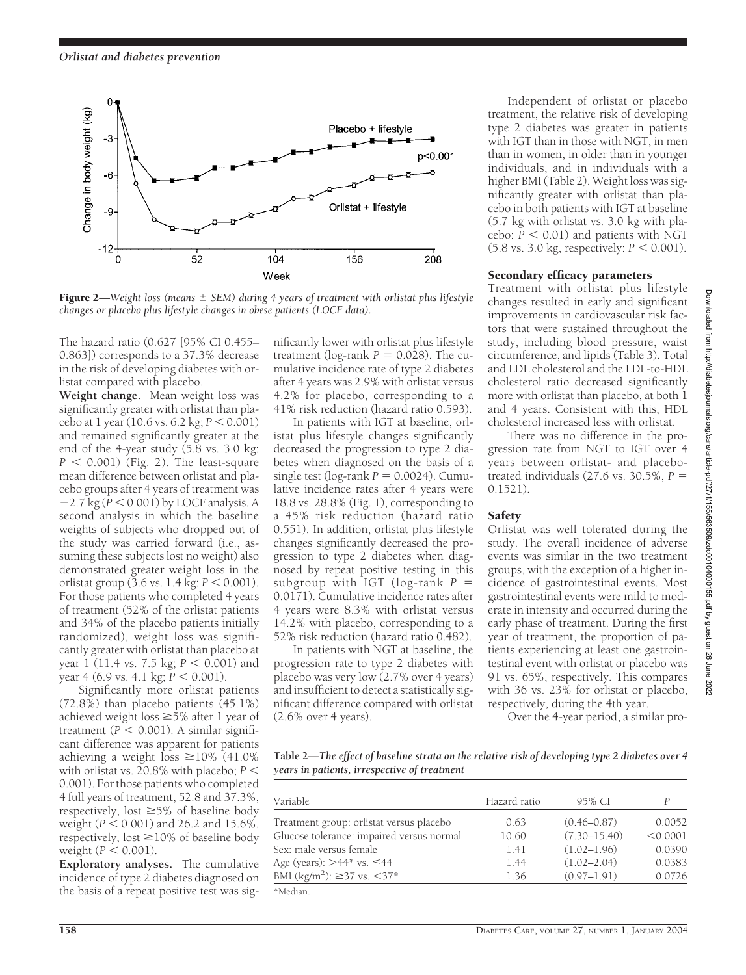

Figure 2—*Weight loss (means*  $\pm$  SEM) during 4 years of treatment with orlistat plus lifestyle *changes or placebo plus lifestyle changes in obese patients (LOCF data).*

The hazard ratio (0.627 [95% CI 0.455– 0.863]) corresponds to a 37.3% decrease in the risk of developing diabetes with orlistat compared with placebo.

**Weight change.** Mean weight loss was significantly greater with orlistat than placebo at  $1$  year  $(10.6 \text{ vs. } 6.2 \text{ kg}; P \leq 0.001)$ and remained significantly greater at the end of the 4-year study (5.8 vs. 3.0 kg;  $P < 0.001$ ) (Fig. 2). The least-square mean difference between orlistat and placebo groups after 4 years of treatment was  $-2.7$  kg ( $P < 0.001$ ) by LOCF analysis. A second analysis in which the baseline weights of subjects who dropped out of the study was carried forward (i.e., assuming these subjects lost no weight) also demonstrated greater weight loss in the orlistat group  $(3.6 \text{ vs. } 1.4 \text{ kg}; P \leq 0.001)$ . For those patients who completed 4 years of treatment (52% of the orlistat patients and 34% of the placebo patients initially randomized), weight loss was significantly greater with orlistat than placebo at year 1 (11.4 vs. 7.5 kg;  $P < 0.001$ ) and year 4 (6.9 vs. 4.1 kg;  $\bar{P}$  < 0.001).

Significantly more orlistat patients (72.8%) than placebo patients (45.1%) achieved weight loss  $\geq$  5% after 1 year of treatment ( $P < 0.001$ ). A similar significant difference was apparent for patients achieving a weight loss  $\geq$ 10% (41.0%) with orlistat vs. 20.8% with placebo;  $P \leq$ 0.001). For those patients who completed 4 full years of treatment, 52.8 and 37.3%, respectively, lost  $\geq 5\%$  of baseline body weight ( $P < 0.001$ ) and 26.2 and 15.6%, respectively, lost  $\geq$ 10% of baseline body weight  $(P < 0.001)$ .

**Exploratory analyses.** The cumulative incidence of type 2 diabetes diagnosed on the basis of a repeat positive test was significantly lower with orlistat plus lifestyle treatment ( $log$ -rank  $P = 0.028$ ). The cumulative incidence rate of type 2 diabetes after 4 years was 2.9% with orlistat versus 4.2% for placebo, corresponding to a 41% risk reduction (hazard ratio 0.593).

In patients with IGT at baseline, orlistat plus lifestyle changes significantly decreased the progression to type 2 diabetes when diagnosed on the basis of a  $single test (log-rank  $P = 0.0024$ ). Cumu$ lative incidence rates after 4 years were 18.8 vs. 28.8% (Fig. 1), corresponding to a 45% risk reduction (hazard ratio 0.551). In addition, orlistat plus lifestyle changes significantly decreased the progression to type 2 diabetes when diagnosed by repeat positive testing in this subgroup with IGT (log-rank *P* - 0.0171). Cumulative incidence rates after 4 years were 8.3% with orlistat versus 14.2% with placebo, corresponding to a 52% risk reduction (hazard ratio 0.482).

In patients with NGT at baseline, the progression rate to type 2 diabetes with placebo was very low (2.7% over 4 years) and insufficient to detect a statistically significant difference compared with orlistat (2.6% over 4 years).

Independent of orlistat or placebo treatment, the relative risk of developing type 2 diabetes was greater in patients with IGT than in those with NGT, in men than in women, in older than in younger individuals, and in individuals with a higher BMI (Table 2). Weight loss was significantly greater with orlistat than placebo in both patients with IGT at baseline (5.7 kg with orlistat vs. 3.0 kg with placebo;  $\bar{P}$  < 0.01) and patients with NGT  $(5.8 \text{ vs. } 3.0 \text{ kg}, \text{ respectively}; P < 0.001)$ .

#### Secondary efficacy parameters

Treatment with orlistat plus lifestyle changes resulted in early and significant improvements in cardiovascular risk factors that were sustained throughout the study, including blood pressure, waist circumference, and lipids (Table 3). Total and LDL cholesterol and the LDL-to-HDL cholesterol ratio decreased significantly more with orlistat than placebo, at both 1 and 4 years. Consistent with this, HDL cholesterol increased less with orlistat.

There was no difference in the progression rate from NGT to IGT over 4 years between orlistat- and placebotreated individuals  $(27.6 \text{ vs. } 30.5\%, P =$ 0.1521).

## Safety

Orlistat was well tolerated during the study. The overall incidence of adverse events was similar in the two treatment groups, with the exception of a higher incidence of gastrointestinal events. Most gastrointestinal events were mild to moderate in intensity and occurred during the early phase of treatment. During the first year of treatment, the proportion of patients experiencing at least one gastrointestinal event with orlistat or placebo was 91 vs. 65%, respectively. This compares with 36 vs. 23% for orlistat or placebo, respectively, during the 4th year.

Over the 4-year period, a similar pro-

**Table 2—***The effect of baseline strata on the relative risk of developing type 2 diabetes over 4 years in patients, irrespective of treatment*

| Variable                                          | Hazard ratio | 95% CI           | D        |
|---------------------------------------------------|--------------|------------------|----------|
| Treatment group: orlistat versus placebo          | 0.63         | $(0.46 - 0.87)$  | 0.0052   |
| Glucose tolerance: impaired versus normal         | 10.60        | $(7.30 - 15.40)$ | < 0.0001 |
| Sex: male versus female                           | 1.41         | $(1.02 - 1.96)$  | 0.0390   |
| Age (years): $>44$ <sup>*</sup> vs. $\leq 44$     | 1.44         | $(1.02 - 2.04)$  | 0.0383   |
| BMI (kg/m <sup>2</sup> ): $\geq$ 37 vs. $\lt$ 37* | 1.36         | $(0.97 - 1.91)$  | 0.0726   |
| *Median.                                          |              |                  |          |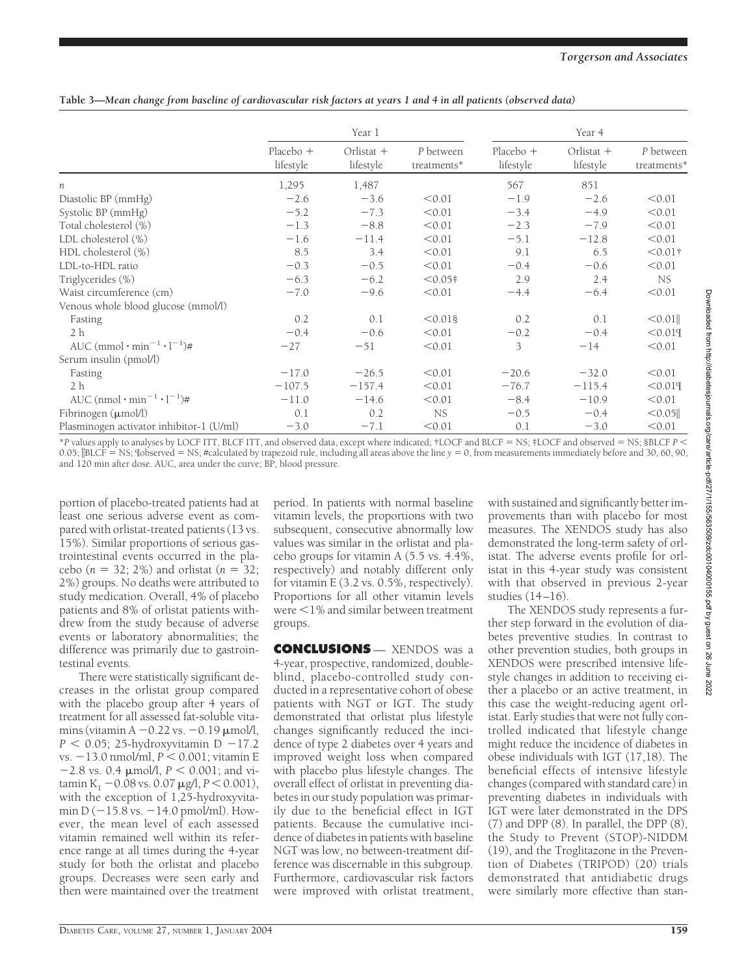**Table 3—***Mean change from baseline of cardiovascular risk factors at years 1 and 4 in all patients (observed data)*

|                                                       | Year 1                   |                         |                          | Year 4                 |                           |                          |
|-------------------------------------------------------|--------------------------|-------------------------|--------------------------|------------------------|---------------------------|--------------------------|
|                                                       | Placebo $+$<br>lifestyle | Orlistat +<br>lifestyle | P between<br>treatments* | Placebo +<br>lifestyle | Orlistat $+$<br>lifestyle | P between<br>treatments* |
| n                                                     | 1,295                    | 1,487                   |                          | 567                    | 851                       |                          |
| Diastolic BP (mmHg)                                   | $-2.6$                   | $-3.6$                  | < 0.01                   | $-1.9$                 | $-2.6$                    | < 0.01                   |
| Systolic BP (mmHg)                                    | $-5.2$                   | $-7.3$                  | < 0.01                   | $-3.4$                 | $-4.9$                    | < 0.01                   |
| Total cholesterol (%)                                 | $-1.3$                   | $-8.8$                  | < 0.01                   | $-2.3$                 | $-7.9$                    | < 0.01                   |
| LDL cholesterol (%)                                   | $-1.6$                   | $-11.4$                 | < 0.01                   | $-5.1$                 | $-12.8$                   | < 0.01                   |
| HDL cholesterol (%)                                   | 8.5                      | 3.4                     | < 0.01                   | 9.1                    | 6.5                       | $< 0.01$ †               |
| LDL-to-HDL ratio                                      | $-0.3$                   | $-0.5$                  | < 0.01                   | $-0.4$                 | $-0.6$                    | < 0.01                   |
| Triglycerides (%)                                     | $-6.3$                   | $-6.2$                  | $< 0.05$ †               | 2.9                    | 2.4                       | NS.                      |
| Waist circumference (cm)                              | $-7.0$                   | $-9.6$                  | < 0.01                   | $-4.4$                 | $-6.4$                    | < 0.01                   |
| Venous whole blood glucose (mmol/l)                   |                          |                         |                          |                        |                           |                          |
| Fasting                                               | 0.2                      | 0.1                     | $< 0.01$ §               | 0.2                    | 0.1                       | $< 0.01$                 |
| 2 <sub>h</sub>                                        | $-0.4$                   | $-0.6$                  | < 0.01                   | $-0.2$                 | $-0.4$                    | < 0.019                  |
| AUC $\text{(mmol}\cdot\text{min}^{-1}\cdot l^{-1})\#$ | $-27$                    | $-51$                   | < 0.01                   | 3                      | $-14$                     | < 0.01                   |
| Serum insulin (pmol/l)                                |                          |                         |                          |                        |                           |                          |
| Fasting                                               | $-17.0$                  | $-26.5$                 | < 0.01                   | $-20.6$                | $-32.0$                   | < 0.01                   |
| 2 <sub>h</sub>                                        | $-107.5$                 | $-157.4$                | < 0.01                   | $-76.7$                | $-115.4$                  | < 0.019                  |
| AUC $(nmol \cdot min^{-1} \cdot l^{-1})$ #            | $-11.0$                  | $-14.6$                 | < 0.01                   | $-8.4$                 | $-10.9$                   | < 0.01                   |
| Fibrinogen (µmol/l)                                   | 0.1                      | 0.2                     | NS.                      | $-0.5$                 | $-0.4$                    | < 0.05                   |
| Plasminogen activator inhibitor-1 (U/ml)              | $-3.0$                   | $-7.1$                  | < 0.01                   | 0.1                    | $-3.0$                    | < 0.01                   |

\**P* values apply to analyses by LOCF ITT, BLCF ITT, and observed data, except where indicated; †LOCF and BLCF - NS; ‡LOCF and observed - NS; §BLCF *P* 0.05; |BLCF = NS; Iobserved = NS; #calculated by trapezoid rule, including all areas above the line *y* = 0, from measurements immediately before and 30, 60, 90, and 120 min after dose. AUC, area under the curve; BP, blood pressure.

portion of placebo-treated patients had at least one serious adverse event as compared with orlistat-treated patients (13 vs. 15%). Similar proportions of serious gastrointestinal events occurred in the placebo ( $n = 32$ ; 2%) and orlistat ( $n = 32$ ; 2%) groups. No deaths were attributed to study medication. Overall, 4% of placebo patients and 8% of orlistat patients withdrew from the study because of adverse events or laboratory abnormalities; the difference was primarily due to gastrointestinal events.

There were statistically significant decreases in the orlistat group compared with the placebo group after 4 years of treatment for all assessed fat-soluble vitamins (vitamin  $A - 0.22$  vs.  $-0.19$   $\mu$ mol/l,  $P < 0.05$ ; 25-hydroxyvitamin D  $-17.2$ vs. -13.0 nmol/ml,  $P < 0.001$ ; vitamin E  $-2.8$  vs. 0.4  $\mu$ mol/l,  $P < 0.001$ ; and vitamin K<sub>1</sub>  $-0.08$  vs. 0.07  $\mu$ g/l, *P* < 0.001), with the exception of 1,25-hydroxyvitamin  $D(-15.8 \text{ vs. } -14.0 \text{ pmol/ml})$ . However, the mean level of each assessed vitamin remained well within its reference range at all times during the 4-year study for both the orlistat and placebo groups. Decreases were seen early and then were maintained over the treatment period. In patients with normal baseline vitamin levels, the proportions with two subsequent, consecutive abnormally low values was similar in the orlistat and placebo groups for vitamin A (5.5 vs. 4.4%, respectively) and notably different only for vitamin E (3.2 vs. 0.5%, respectively). Proportions for all other vitamin levels were <1% and similar between treatment groups.

**CONCLUSIONS** — XENDOS was a 4-year, prospective, randomized, doubleblind, placebo-controlled study conducted in a representative cohort of obese patients with NGT or IGT. The study demonstrated that orlistat plus lifestyle changes significantly reduced the incidence of type 2 diabetes over 4 years and improved weight loss when compared with placebo plus lifestyle changes. The overall effect of orlistat in preventing diabetes in our study population was primarily due to the beneficial effect in IGT patients. Because the cumulative incidence of diabetes in patients with baseline NGT was low, no between-treatment difference was discernable in this subgroup. Furthermore, cardiovascular risk factors were improved with orlistat treatment,

with sustained and significantly better improvements than with placebo for most measures. The XENDOS study has also demonstrated the long-term safety of orlistat. The adverse events profile for orlistat in this 4-year study was consistent with that observed in previous 2-year studies (14–16).

The XENDOS study represents a further step forward in the evolution of diabetes preventive studies. In contrast to other prevention studies, both groups in XENDOS were prescribed intensive lifestyle changes in addition to receiving either a placebo or an active treatment, in this case the weight-reducing agent orlistat. Early studies that were not fully controlled indicated that lifestyle change might reduce the incidence of diabetes in obese individuals with IGT (17,18). The beneficial effects of intensive lifestyle changes (compared with standard care) in preventing diabetes in individuals with IGT were later demonstrated in the DPS (7) and DPP (8). In parallel, the DPP (8), the Study to Prevent (STOP)-NIDDM (19), and the Troglitazone in the Prevention of Diabetes (TRIPOD) (20) trials demonstrated that antidiabetic drugs were similarly more effective than stan-

2022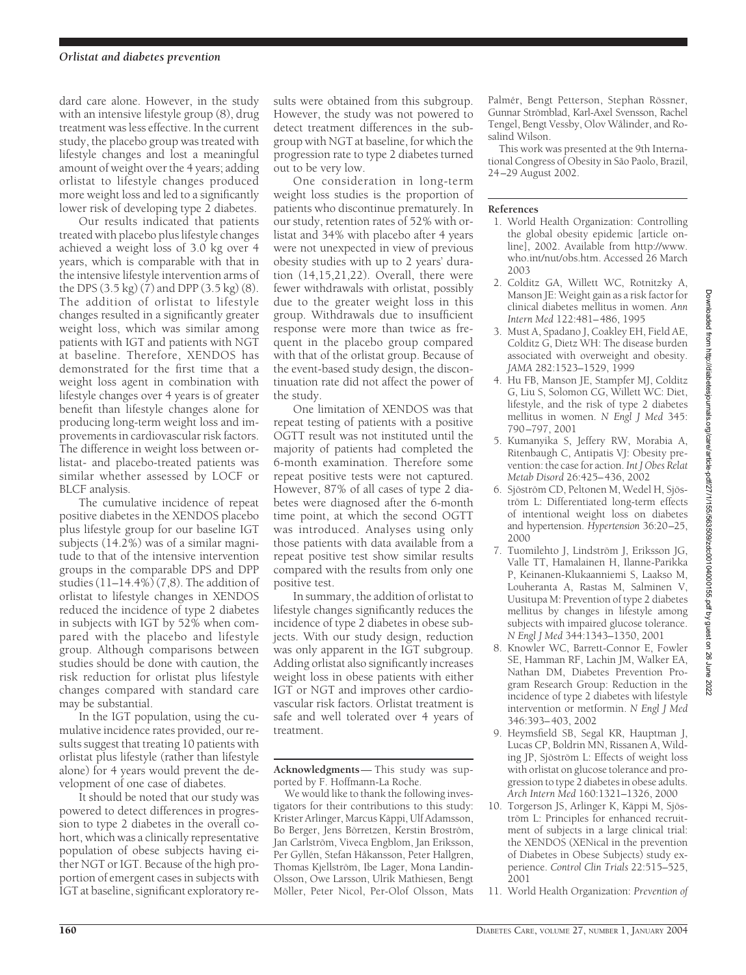dard care alone. However, in the study with an intensive lifestyle group (8), drug treatment was less effective. In the current study, the placebo group was treated with lifestyle changes and lost a meaningful amount of weight over the 4 years; adding orlistat to lifestyle changes produced more weight loss and led to a significantly lower risk of developing type 2 diabetes.

Our results indicated that patients treated with placebo plus lifestyle changes achieved a weight loss of 3.0 kg over 4 years, which is comparable with that in the intensive lifestyle intervention arms of the DPS (3.5 kg) (7) and DPP (3.5 kg) (8). The addition of orlistat to lifestyle changes resulted in a significantly greater weight loss, which was similar among patients with IGT and patients with NGT at baseline. Therefore, XENDOS has demonstrated for the first time that a weight loss agent in combination with lifestyle changes over 4 years is of greater benefit than lifestyle changes alone for producing long-term weight loss and improvements in cardiovascular risk factors. The difference in weight loss between orlistat- and placebo-treated patients was similar whether assessed by LOCF or BLCF analysis.

The cumulative incidence of repeat positive diabetes in the XENDOS placebo plus lifestyle group for our baseline IGT subjects (14.2%) was of a similar magnitude to that of the intensive intervention groups in the comparable DPS and DPP studies (11–14.4%) (7,8). The addition of orlistat to lifestyle changes in XENDOS reduced the incidence of type 2 diabetes in subjects with IGT by 52% when compared with the placebo and lifestyle group. Although comparisons between studies should be done with caution, the risk reduction for orlistat plus lifestyle changes compared with standard care may be substantial.

In the IGT population, using the cumulative incidence rates provided, our results suggest that treating 10 patients with orlistat plus lifestyle (rather than lifestyle alone) for 4 years would prevent the development of one case of diabetes.

It should be noted that our study was powered to detect differences in progression to type 2 diabetes in the overall cohort, which was a clinically representative population of obese subjects having either NGT or IGT. Because of the high proportion of emergent cases in subjects with IGT at baseline, significant exploratory re-

sults were obtained from this subgroup. However, the study was not powered to detect treatment differences in the subgroup with NGT at baseline, for which the progression rate to type 2 diabetes turned out to be very low.

One consideration in long-term weight loss studies is the proportion of patients who discontinue prematurely. In our study, retention rates of 52% with orlistat and 34% with placebo after 4 years were not unexpected in view of previous obesity studies with up to 2 years' duration  $(14,15,21,22)$ . Overall, there were fewer withdrawals with orlistat, possibly due to the greater weight loss in this group. Withdrawals due to insufficient response were more than twice as frequent in the placebo group compared with that of the orlistat group. Because of the event-based study design, the discontinuation rate did not affect the power of the study.

One limitation of XENDOS was that repeat testing of patients with a positive OGTT result was not instituted until the majority of patients had completed the 6-month examination. Therefore some repeat positive tests were not captured. However, 87% of all cases of type 2 diabetes were diagnosed after the 6-month time point, at which the second OGTT was introduced. Analyses using only those patients with data available from a repeat positive test show similar results compared with the results from only one positive test.

In summary, the addition of orlistat to lifestyle changes significantly reduces the incidence of type 2 diabetes in obese subjects. With our study design, reduction was only apparent in the IGT subgroup. Adding orlistat also significantly increases weight loss in obese patients with either IGT or NGT and improves other cardiovascular risk factors. Orlistat treatment is safe and well tolerated over 4 years of treatment.

**Acknowledgments**— This study was supported by F. Hoffmann-La Roche.

We would like to thank the following investigators for their contributions to this study: Krister Arlinger, Marcus Käppi, Ulf Adamsson, Bo Berger, Jens Börretzen, Kerstin Broström, Jan Carlström, Viveca Engblom, Jan Eriksson, Per Gyllén, Stefan Håkansson, Peter Hallgren, Thomas Kjellström, Ibe Lager, Mona Landin-Olsson, Owe Larsson, Ulrik Mathiesen, Bengt Möller, Peter Nicol, Per-Olof Olsson, Mats

Palmér, Bengt Petterson, Stephan Rössner, Gunnar Strömblad, Karl-Axel Svensson, Rachel Tengel, Bengt Vessby, Olov Wålinder, and Rosalind Wilson.

This work was presented at the 9th International Congress of Obesity in São Paolo, Brazil, 24–29 August 2002.

### **References**

- 1. World Health Organization: Controlling the global obesity epidemic [article online], 2002. Available from http://www. who.int/nut/obs.htm. Accessed 26 March 2003
- 2. Colditz GA, Willett WC, Rotnitzky A, Manson JE: Weight gain as a risk factor for clinical diabetes mellitus in women. *Ann Intern Med* 122:481–486, 1995
- 3. Must A, Spadano J, Coakley EH, Field AE, Colditz G, Dietz WH: The disease burden associated with overweight and obesity. *JAMA* 282:1523–1529, 1999
- 4. Hu FB, Manson JE, Stampfer MJ, Colditz G, Liu S, Solomon CG, Willett WC: Diet, lifestyle, and the risk of type 2 diabetes mellitus in women. *N Engl J Med* 345: 790–797, 2001
- 5. Kumanyika S, Jeffery RW, Morabia A, Ritenbaugh C, Antipatis VJ: Obesity prevention: the case for action. *Int J Obes Relat Metab Disord* 26:425–436, 2002
- 6. Sjöström CD, Peltonen M, Wedel H, Sjöström L: Differentiated long-term effects of intentional weight loss on diabetes and hypertension. *Hypertension* 36:20–25, 2000
- 7. Tuomilehto J, Lindström J, Eriksson JG, Valle TT, Hamalainen H, Ilanne-Parikka P, Keinanen-Klukaanniemi S, Laakso M, Louheranta A, Rastas M, Salminen V, Uusitupa M: Prevention of type 2 diabetes mellitus by changes in lifestyle among subjects with impaired glucose tolerance. *N Engl J Med* 344:1343–1350, 2001
- 8. Knowler WC, Barrett-Connor E, Fowler SE, Hamman RF, Lachin JM, Walker EA, Nathan DM, Diabetes Prevention Program Research Group: Reduction in the incidence of type 2 diabetes with lifestyle intervention or metformin. *N Engl J Med* 346:393–403, 2002
- 9. Heymsfield SB, Segal KR, Hauptman J, Lucas CP, Boldrin MN, Rissanen A, Wilding JP, Sjöström L: Effects of weight loss with orlistat on glucose tolerance and progression to type 2 diabetes in obese adults. *Arch Intern Med* 160:1321–1326, 2000
- 10. Torgerson JS, Arlinger K, Käppi M, Sjöström L: Principles for enhanced recruitment of subjects in a large clinical trial: the XENDOS (XENical in the prevention of Diabetes in Obese Subjects) study experience. *Control Clin Trials* 22:515–525, 2001
- 11. World Health Organization: *Prevention of*